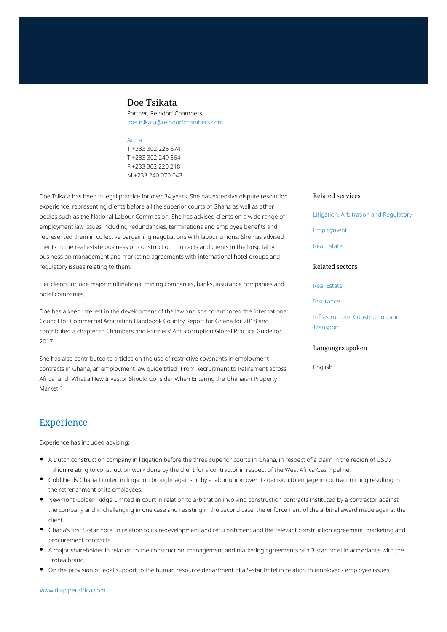## Doe Tsikata

Partner, Reindorf Chambers doe.tsikata@reindorfchambers.com

#### [Accra](https://www.dlapiperafrica.com/ghana/locations/accra.html)

T +233 302 225 674 T +233 302 249 564 F +233 302 220 218 M +233 240 070 043

Doe Tsikata has been in legal practice for over 34 years. She has extensive dispute resolution experience, representing clients before all the superior courts of Ghana as well as other bodies such as the National Labour Commission. She has advised clients on a wide range of employment law issues including redundancies, terminations and employee benefits and represented them in collective bargaining negotiations with labour unions. She has advised clients in the real estate business on construction contracts and clients in the hospitality business on management and marketing agreements with international hotel groups and regulatory issues relating to them.

Her clients include major multinational mining companies, banks, insurance companies and hotel companies.

Doe has a keen interest in the development of the law and she co-authored the International Council for Commercial Arbitration Handbook Country Report for Ghana for 2018 and contributed a chapter to Chambers and Partners' Anti-corruption Global Practice Guide for 2017.

She has also contributed to articles on the use of restrictive covenants in employment contracts in Ghana, an employment law guide titled "From Recruitment to Retirement across Africa" and "What a New Investor Should Consider When Entering the Ghanaian Property Market<sup>"</sup>

### Related services

[Litigation, Arbitration and Regulatory](https://www.dlapiperafrica.com/en/ghana/services/litigation-and-regulatory.html)

[Employment](https://www.dlapiperafrica.com/en/ghana/services/employment.html)

[Real Estate](https://www.dlapiperafrica.com/en/ghana/services/real-estate.html)

## Related sectors

[Real Estate](https://www.dlapiperafrica.com/en/ghana/sectors/real-estate.html)

[Insurance](https://www.dlapiperafrica.com/en/ghana/sectors/insurance.html)

[Infrastructure, Construction and](https://www.dlapiperafrica.com/en/ghana/sectors/infrastructure-construction-transport.html) **[Transport](https://www.dlapiperafrica.com/en/ghana/sectors/infrastructure-construction-transport.html)** 

### Languages spoken

English

# Experience

Experience has included advising:

- A Dutch construction company in litigation before the three superior courts in Ghana, in respect of a claim in the region of USD7 million relating to construction work done by the client for a contractor in respect of the West Africa Gas Pipeline.
- Gold Fields Ghana Limited in litigation brought against it by a labor union over its decision to engage in contract mining resulting in the retrenchment of its employees.
- Newmont Golden Ridge Limited in court in relation to arbitration involving construction contracts instituted by a contractor against the company and in challenging in one case and resisting in the second case, the enforcement of the arbitral award made against the client.
- Ghana's first 5-star hotel in relation to its redevelopment and refurbishment and the relevant construction agreement, marketing and procurement contracts.
- A major shareholder in relation to the construction, management and marketing agreements of a 3-star hotel in accordance with the Protea brand.
- On the provision of legal support to the human resource department of a 5-star hotel in relation to employer / employee issues.